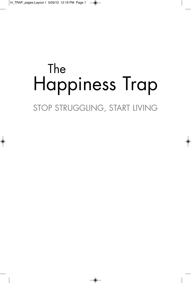# The Happiness Trap

STOP STRUGGLING, START LIVING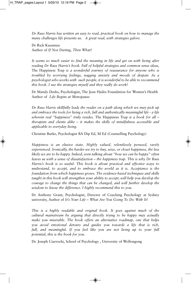*Dr Russ Harris has written an easy to read, practical book on how to manage the many challenges life presents us. A great read, with strategies galore.*

Dr Rick Kausman Author of *If Not Dieting, Then What?*

*It seems so much easier to find the meaning in life and get on with living after reading Dr Russ Harris's book. Full of helpful strategies and common sense ideas,* The Happiness Trap *is a wonderful journey of reassurance for anyone who is troubled by worrying feelings, nagging anxiety and moods of despair. As a psychologist who works with such people, it is wonderful to be able to recommend this book. I use the strategies myself and they really do work!*

Dr Mandy Deeks, Psychologist, The Jean Hailes Foundation for Women's Health Author of *Life Begins at Menopause*

*Dr Russ Harris skillfully leads the reader on a path along which we may pick up and embrace the tools for living a rich, full and authentically meaningful life - a life wherein real "happiness" truly resides.* The Happiness Trap *is a book for all – therapists and clients alike – it makes the skills of mindfulness accessible and applicable to everyday living.*

Christine Burke, Psychologist BA Dip Ed, M Ed (Counselling Psychology)

*Happiness is an elusive state. Highly valued, relentlessly perused, rarely experienced. Ironically, the harder we try to buy, seize, or closet happiness, the less likely we are to be happy. Indeed, even talking about "how we can be happy" often leaves us with a sense of dissatisfaction – the happiness trap. This is why Dr Russ Harris's book is so useful. This book is about practical and effective ways to understand, to accept, and to embrace the world as it is. Acceptance is the foundation from which happiness grows. The evidence-based techniques and skills taught in this book will strengthen your ability to accept, will help you develop the courage to change the things that can be changed, and will further develop the wisdom to know the difference. I highly recommend this to you.*

Dr Anthony Grant, Psychologist, Director of Coaching Psychology at Sydney university, Author of *It's Your Life – What Are You Going To Do With It!*

*This is a highly readable and original book. It goes against much of the cultural mainstream by arguing that directly trying to be happy may actually make you miserable. The book offers an alternative roadmap, one that helps you avoid emotional detours and guides you towards a life that is rich, full, and meaningful. If you feel like you are not living up to your full potential, this is the book for you.*

Dr. Joseph Ciarrochi, School of Psychology , University of Wollongong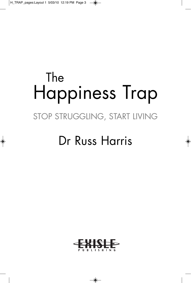# The Happiness Trap

### STOP STRUGGLING, START LIVING

# Dr Russ Harris

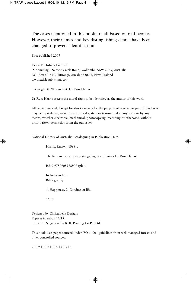The cases mentioned in this book are all based on real people. However, their names and key distinguishing details have been changed to prevent identification.

First published 2007

Exisle Publishing Limited 'Moonrising', Narone Creek Road, Wollombi, NSW 2325, Australia P.O. Box 60–490, Titirangi, Auckland 0642, New Zealand www.exislepublishing.com

Copyright © 2007 in text: Dr Russ Harris

Dr Russ Harris asserts the moral right to be identified as the author of this work.

All rights reserved. Except for short extracts for the purpose of review, no part of this book may be reproduced, stored in a retrieval system or transmitted in any form or by any means, whether electronic, mechanical, photocopying, recording or otherwise, without prior written permission from the publisher.

National Library of Australia Cataloguing-in-Publication Data:

Harris, Russell, 1966–.

The happiness trap : stop struggling, start living / Dr Russ Harris.

ISBN 9780908988907 (pbk.)

Includes index. Bibliography

1. Happiness. 2. Conduct of life.

158.1

Designed by Christabella Designs Typeset in Sabon 11/15 Printed in Singapore by KHL Printing Co Pte Ltd

This book uses paper sourced under ISO 14001 guidelines from well-managed forests and other controlled sources.

◈

20 19 18 17 16 15 14 13 12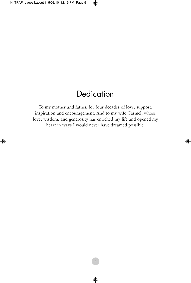### **Dedication**

◈

To my mother and father, for four decades of love, support, inspiration and encouragement. And to my wife Carmel, whose love, wisdom, and generosity has enriched my life and opened my heart in ways I would never have dreamed possible.

5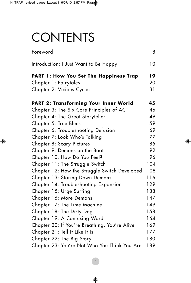O

# **CONTENTS**

| Foreword                                      | 8   |
|-----------------------------------------------|-----|
| Introduction: I Just Want to Be Happy         | 10  |
| PART 1: How You Set The Happiness Trap        | 19  |
| Chapter 1: Fairytales                         | 20  |
| Chapter 2: Vicious Cycles                     | 31  |
| <b>PART 2: Transforming Your Inner World</b>  | 45  |
| Chapter 3: The Six Core Principles of ACT     | 46  |
| Chapter 4: The Great Storyteller              | 49  |
| Chapter 5: True Blues                         | 59  |
| Chapter 6: Troubleshooting Defusion           | 69  |
| Chapter 7: Look Who's Talking                 | 77  |
| <b>Chapter 8: Scary Pictures</b>              | 85  |
| Chapter 9: Demons on the Boat                 | 92  |
| Chapter 10: How Do You Feel?                  | 96  |
| Chapter 11: The Struggle Switch               | 104 |
| Chapter 12: How the Struggle Switch Developed | 108 |
| Chapter 13: Staring Down Demons               | 116 |
| Chapter 14: Troubleshooting Expansion         | 129 |
| Chapter 15: Urge Surfing                      | 138 |
| Chapter 16: More Demons                       | 147 |
| Chapter 17: The Time Machine                  | 149 |
| Chapter 18: The Dirty Dog                     | 158 |
| Chapter 19: A Confusing Word                  | 164 |
| Chapter 20: If You're Breathing, You're Alive | 169 |
| Chapter 21: Tell It Like It Is                | 177 |
| Chapter 22: The Big Story                     | 180 |
| Chapter 23: You're Not Who You Think You Are  | 189 |

 $\frac{1}{2}$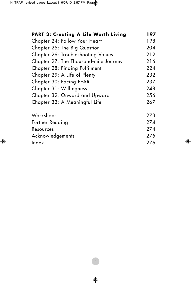$\Rightarrow$ 

| <b>PART 3: Creating A Life Worth Living</b> | 197 |
|---------------------------------------------|-----|
| Chapter 24: Follow Your Heart               | 198 |
| Chapter 25: The Big Question                | 204 |
| <b>Chapter 26: Troubleshooting Values</b>   | 212 |
| Chapter 27: The Thousand-mile Journey       | 216 |
| Chapter 28: Finding Fulfilment              | 224 |
| Chapter 29: A Life of Plenty                | 232 |
| Chapter 30: Facing FEAR                     | 237 |
| Chapter 31: Willingness                     | 248 |
| Chapter 32: Onward and Upward               | 256 |
| Chapter 33: A Meaningful Life               | 267 |
| Workshops                                   | 273 |
| <b>Further Reading</b>                      | 274 |
| Resources                                   | 274 |
| Acknowledgements                            | 275 |
| Index                                       | 276 |

7

 $\overline{\bullet}$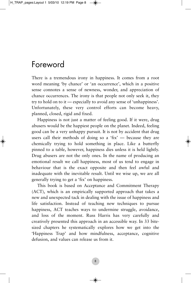### Foreword

There is a tremendous irony in happiness. It comes from a root word meaning 'by chance' or 'an occurrence', which in a positive sense connotes a sense of newness, wonder, and appreciation of chance occurrences. The irony is that people not only seek it, they try to hold on to it — especially to avoid any sense of 'unhappiness'. Unfortunately, these very control efforts can become heavy, planned, closed, rigid and fixed.

Happiness is not just a matter of feeling good. If it were, drug abusers would be the happiest people on the planet. Indeed, feeling good can be a very unhappy pursuit. It is not by accident that drug users call their methods of doing so a 'fix'  $-$  because they are chemically trying to hold something in place. Like a butterfly pinned to a table, however, happiness dies unless it is held lightly. Drug abusers are not the only ones. In the name of producing an emotional result we call happiness, most of us tend to engage in behaviour that is the exact opposite and then feel awful and inadequate with the inevitable result. Until we wise up, we are all generally trying to get a 'fix' on happiness.

This book is based on Acceptance and Commitment Therapy (ACT), which is an empirically supported approach that takes a new and unexpected tack in dealing with the issue of happiness and life satisfaction. Instead of teaching new techniques to pursue happiness, ACT teaches ways to undermine struggle, avoidance, and loss of the moment. Russ Harris has very carefully and creatively presented this approach in an accessible way. In 33 bitesized chapters he systematically explores how we get into the 'Happiness Trap' and how mindfulness, acceptance, cognitive defusion, and values can release us from it.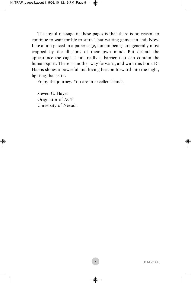The joyful message in these pages is that there is no reason to continue to wait for life to start. That waiting game can end. Now. Like a lion placed in a paper cage, human beings are generally most trapped by the illusions of their own mind. But despite the appearance the cage is not really a barrier that can contain the human spirit. There is another way forward, and with this book Dr Harris shines a powerful and loving beacon forward into the night, lighting that path.

◈

Enjoy the journey. You are in excellent hands.

Steven C. Hayes Originator of ACT University of Nevada

 $\bigcirc$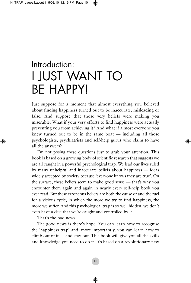# Introduction: I JUST WANT TO BE HAPPY!

Just suppose for a moment that almost everything you believed about finding happiness turned out to be inaccurate, misleading or false. And suppose that those very beliefs were making you miserable. What if your very efforts to find happiness were actually preventing you from achieving it? And what if almost everyone you knew turned out to be in the same boat — including all those psychologists, psychiatrists and self-help gurus who claim to have all the answers?

I'm not posing these questions just to grab your attention. This book is based on a growing body of scientific research that suggests we are all caught in a powerful psychological trap. We lead our lives ruled by many unhelpful and inaccurate beliefs about happiness — ideas widely accepted by society because 'everyone knows they are true'. On the surface, these beliefs seem to make good sense — that's why you encounter them again and again in nearly every self-help book you ever read. But these erroneous beliefs are both the cause of and the fuel for a vicious cycle, in which the more we try to find happiness, the more we suffer. And this psychological trap is so well hidden, we don't even have a clue that we're caught and controlled by it.

That's the bad news.

The good news is there's hope. You can learn how to recognise the 'happiness trap' and, more importantly, you can learn how to climb out of it — and stay out. This book will give you all the skills and knowledge you need to do it. It's based on a revolutionary new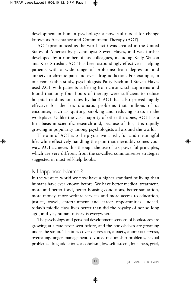development in human psychology: a powerful model for change known as Acceptance and Commitment Therapy (ACT).

ACT (pronounced as the word 'act') was created in the United States of America by psychologist Steven Hayes, and was further developed by a number of his colleagues, including Kelly Wilson and Kirk Stroshal. ACT has been astoundingly effective in helping patients with a wide range of problems: from depression and anxiety to chronic pain and even drug addiction. For example, in one remarkable study, psychologists Patty Bach and Steven Hayes used ACT with patients suffering from chronic schizophrenia and found that only four hours of therapy were sufficient to reduce hospital readmission rates by half! ACT has also proved highly effective for the less dramatic problems that millions of us encounter, such as quitting smoking and reducing stress in the workplace. Unlike the vast majority of other therapies, ACT has a firm basis in scientific research and, because of this, it is rapidly growing in popularity among psychologists all around the world.

The aim of ACT is to help you live a rich, full and meaningful life, while effectively handling the pain that inevitably comes your way. ACT achieves this through the use of six powerful principles, which are very different from the so-called commonsense strategies suggested in most self-help books.

#### Is Happiness Normal?

In the western world we now have a higher standard of living than humans have ever known before. We have better medical treatment, more and better food, better housing conditions, better sanitation, more money, more welfare services and more access to education, justice, travel, entertainment and career opportunities. Indeed, today's middle class lives better than did the royalty of not so long ago, and yet, human misery is everywhere.

The psychology and personal development sections of bookstores are growing at a rate never seen before, and the bookshelves are groaning under the strain. The titles cover depression, anxiety, anorexia nervosa, overeating, anger management, divorce, relationship problems, sexual problems, drug addictions, alcoholism, low self-esteem, loneliness, grief,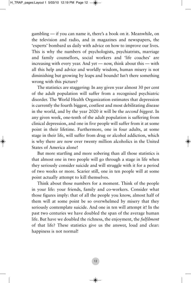gambling — if you can name it, there's a book on it. Meanwhile, on the television and radio, and in magazines and newspapers, the 'experts' bombard us daily with advice on how to improve our lives. This is why the numbers of psychologists, psychiatrists, marriage and family counsellors, social workers and 'life coaches' are increasing with every year. And yet — now, think about this — with all this help and advice and worldly wisdom, human misery is not diminishing but growing by leaps and bounds! Isn't there something wrong with this picture?

The statistics are staggering: In any given year almost 30 per cent of the adult population will suffer from a recognised psychiatric disorder. The World Health Organization estimates that depression is currently the fourth biggest, costliest and most debilitating disease in the world, and by the year 2020 it will be the *second biggest*. In any given week, one-tenth of the adult population is suffering from clinical depression, and one in five people will suffer from it at some point in their lifetime. Furthermore, one in four adults, at some stage in their life, will suffer from drug or alcohol addiction, which is why there are now over twenty million alcoholics in the United States of America alone!

But more startling and more sobering than all those statistics is that almost one in two people will go through a stage in life when they seriously consider suicide and will struggle with it for a period of two weeks or more. Scarier still, one in ten people will at some point actually attempt to kill themselves.

Think about those numbers for a moment. Think of the people in your life: your friends, family and co-workers. Consider what those figures imply: that of all the people you know, almost half of them will at some point be so overwhelmed by misery that they seriously contemplate suicide. And one in ten will attempt it! In the past two centuries we have doubled the span of the average human life. But have we doubled the richness, the enjoyment, the *fulfilment* of that life? These statistics give us the answer, loud and clear: happiness is not normal!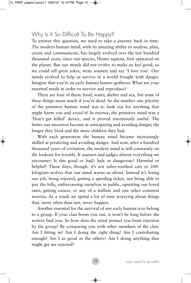### Why Is It So Difficult To Be Happy?

To answer this question, we need to take a journey back in time. The modern human mind, with its amazing ability to analyse, plan, create and communicate, has largely evolved over the last hundred thousand years, since our species, Homo sapiens, first appeared on the planet. But our minds did not evolve to make us feel good, so we could tell great jokes, write sonnets and say 'I love you'. Our minds evolved to help us survive in a world fraught with danger. Imagine that you're an early human hunter–gatherer. What are your essential needs in order to survive and reproduce?

There are four of them: food, water, shelter and sex, but none of these things mean much if you're dead. So the number one priority of the primitive human mind was to look out for anything that might harm you and avoid it! In essence, the primitive mind was a 'Don't get killed' device, and it proved enormously useful. The better our ancestors became at anticipating and avoiding danger, the longer they lived and the more children they had.

With each generation the human mind became increasingly skilled at predicting and avoiding danger. And now, after a hundred thousand years of evolution, the modern mind is still constantly on the lookout for trouble. It assesses and judges almost everything we encounter: Is this good or bad? Safe or dangerous? Harmful or helpful? These days, though, it's not sabre-toothed cats or 200kilogram wolves that our mind warns us about. Instead it's losing our job, being rejected, getting a speeding ticket, not being able to pay the bills, embarrassing ourselves in public, upsetting our loved ones, getting cancer, or any of a million and one other common worries. As a result we spend a lot of time worrying about things that, more often than not, never happen.

Another essential for the survival of any early human is to belong to a group. If your clan boots you out, it won't be long before the wolves find you. So how does the mind protect you from rejection by the group? By comparing you with other members of the clan: Am I fitting in? Am I doing the right thing? Am I contributing enough? Am I as good as the others? Am I doing anything that might get me rejected?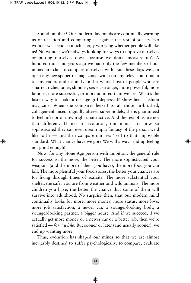Sound familiar? Our modern-day minds are continually warning us of rejection and comparing us against the rest of society. No wonder we spend so much energy worrying whether people will like us! No wonder we're always looking for ways to improve ourselves or putting ourselves down because we don't 'measure up'. A hundred thousand years ago we had only the few members of our immediate clan to compare ourselves with. But these days we can open any newspaper or magazine, switch on any television, tune in to any radio, and instantly find a whole host of people who are smarter, richer, taller, slimmer, sexier, stronger, more powerful, more famous, more successful, or more admired than we are. What's the fastest way to make a teenage girl depressed? Show her a fashion magazine. When she compares herself to all those air-brushed, collagen-enhanced, digitally altered supermodels, she is guaranteed to feel inferior or downright unattractive. And the rest of us are not that different. Thanks to evolution, our minds are now so sophisticated they can even dream up a fantasy of the person we'd like to be — and then compare our 'real' self to that impossible standard. What chance have we got? We will always end up feeling not good enough!

Now, for any Stone Age person with ambition, the general rule for success is: the more, the better. The more sophisticated your weapons (and the more of them you have), the more food you can kill. The more plentiful your food stores, the better your chances are for living through times of scarcity. The more substantial your shelter, the safer you are from weather and wild animals. The more children you have, the better the chance that some of them will survive into adulthood. No surprise then, that our modern mind continually looks for more: more money, more status, more love, more job satisfaction, a newer car, a younger-looking body, a younger-looking partner, a bigger house. And if we succeed, if we actually get more money or a newer car or a better job, then we're satisfied — *for a while*. But sooner or later (and usually sooner), we end up wanting more.

Thus, evolution has shaped our minds so that we are almost inevitably destined to suffer psychologically: to compare, evaluate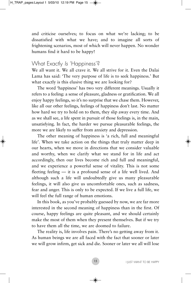and criticise ourselves; to focus on what we're lacking; to be dissatisfied with what we have; and to imagine all sorts of frightening scenarios, most of which will never happen. No wonder humans find it hard to be happy!

### What Exactly *Is* 'Happiness'?

We all want it. We all crave it. We all strive for it. Even the Dalai Lama has said: 'The very purpose of life is to seek happiness.' But what exactly is this elusive thing we are looking for?

The word 'happiness' has two very different meanings. Usually it refers to a feeling: a sense of pleasure, gladness or gratification. We all enjoy happy feelings, so it's no surprise that we chase them. However, like all our other feelings, feelings of happiness don't last. No matter how hard we try to hold on to them, they slip away every time. And as we shall see, a life spent in pursuit of those feelings is, in the main, unsatisfying. In fact, the harder we pursue pleasurable feelings, the more we are likely to suffer from anxiety and depression.

The other meaning of happiness is 'a rich, full and meaningful life'. When we take action on the things that truly matter deep in our hearts, when we move in directions that we consider valuable and worthy, when we clarify what we stand for in life and act accordingly, then our lives become rich and full and meaningful, and we experience a powerful sense of vitality. This is not some fleeting feeling — it is a profound sense of a life well lived. And although such a life will undoubtedly give us many pleasurable feelings, it will also give us uncomfortable ones, such as sadness, fear and anger. This is only to be expected. If we live a full life, we will feel the full range of human emotions.

In this book, as you've probably guessed by now, we are far more interested in the second meaning of happiness than in the first. Of course, happy feelings are quite pleasant, and we should certainly make the most of them when they present themselves. But if we try to have them all the time, we are doomed to failure.

The reality is, life involves pain. There's no getting away from it. As human beings we are all faced with the fact that sooner or later we will grow infirm, get sick and die. Sooner or later we all will lose

۱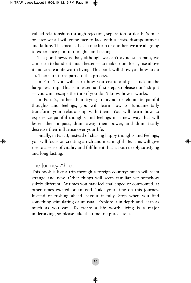valued relationships through rejection, separation or death. Sooner or later we all will come face-to-face with a crisis, disappointment and failure. This means that in one form or another, we are all going to experience painful thoughts and feelings.

The good news is that, although we can't avoid such pain, we can learn to handle it much better — to make room for it, rise above it and create a life worth living. This book will show you how to do so. There are three parts to this process.

In Part 1 you will learn how you create and get stuck in the happiness trap. This is an essential first step, so please don't skip it — you can't escape the trap if you don't know how it works.

In Part 2, rather than trying to avoid or eliminate painful thoughts and feelings, you will learn how to fundamentally transform your relationship with them. You will learn how to experience painful thoughts and feelings in a new way that will lessen their impact, drain away their power, and dramatically decrease their influence over your life.

Finally, in Part 3, instead of chasing happy thoughts and feelings, you will focus on creating a rich and meaningful life. This will give rise to a sense of vitality and fulfilment that is both deeply satisfying and long lasting.

#### The Journey Ahead

This book is like a trip through a foreign country: much will seem strange and new. Other things will seem familiar yet somehow subtly different. At times you may feel challenged or confronted, at other times excited or amused. Take your time on this journey. Instead of rushing ahead, savour it fully. Stop when you find something stimulating or unusual. Explore it in depth and learn as much as you can. To create a life worth living is a major undertaking, so please take the time to appreciate it.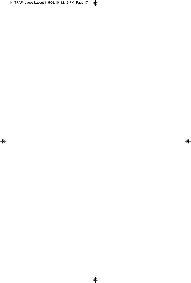$H_T = P_1 + P_2$  Pages: Layout 1 5/03/10 12:19 PM Page 17  $\leftarrow \bigotimes$ 

 $\overline{\bullet}$ 

 $\Rightarrow$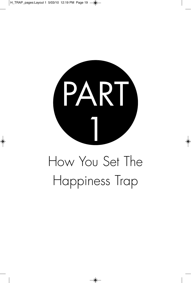$\bigcirc$ 



# How You Set The Happiness Trap

◈

O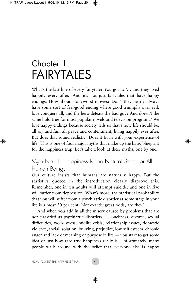## Chapter 1: FAIRYTALES

What's the last line of every fairytale? You got it: '… and they lived happily every after.' And it's not just fairytales that have happy endings. How about Hollywood movies? Don't they nearly always have some sort of feel-good ending where good triumphs over evil, love conquers all, and the hero defeats the bad guy? And doesn't the same hold true for most popular novels and television programs? We love happy endings because society tells us that's how life should be: all joy and fun, all peace and contentment, living happily ever after. But does that sound realistic? Does it fit in with your experience of life? This is one of four major myths that make up the basic blueprint for the happiness trap. Let's take a look at these myths, one by one.

### Myth No. 1: Happiness Is The Natural State For All Human Beings

Our culture insists that humans are naturally happy. But the statistics quoted in the introduction clearly disprove this. Remember, one in ten adults will attempt suicide, and one in five will suffer from depression. What's more, the statistical probability that you will suffer from a psychiatric disorder at some stage in your life is almost 30 per cent! Not exactly great odds, are they?

And when you add in all the misery caused by problems that are not classified as psychiatric disorders — loneliness, divorce, sexual difficulties, work stress, midlife crisis, relationship issues, domestic violence, social isolation, bullying, prejudice, low self-esteem, chronic anger and lack of meaning or purpose in life — you start to get some idea of just how rare true happiness really is. Unfortunately, many people walk around with the belief that everyone else is happy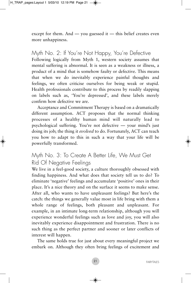except for them. And  $-$  you guessed it  $-$  this belief creates even more unhappiness.

Myth No. 2: If You're Not Happy, You're Defective Following logically from Myth 1, western society assumes that mental suffering is abnormal. It is seen as a weakness or illness, a product of a mind that is somehow faulty or defective. This means that when we do inevitably experience painful thoughts and feelings, we often criticise ourselves for being weak or stupid. Health professionals contribute to this process by readily slapping on labels such as, 'You're depressed', and these labels merely confirm how defective we are.

Acceptance and Commitment Therapy is based on a dramatically different assumption. ACT proposes that the normal thinking processes of a healthy human mind will naturally lead to psychological suffering. You're not defective — your mind's just doing its job; the thing it *evolved* to do. Fortunately, ACT can teach you how to adapt to this in such a way that your life will be powerfully transformed.

### Myth No. 3: To Create A Better Life, We Must Get Rid Of Negative Feelings

We live in a feel-good society, a culture thoroughly obsessed with finding happiness. And what does that society tell us to do? To eliminate 'negative' feelings and accumulate 'positive' ones in their place. It's a nice theory and on the surface it seems to make sense. After all, who wants to have unpleasant feelings? But here's the catch: the things we generally value most in life bring with them a whole range of feelings, both pleasant and unpleasant. For example, in an intimate long-term relationship, although you will experience wonderful feelings such as love and joy, you will also inevitably experience disappointment and frustration. There is no such thing as the perfect partner and sooner or later conflicts of interest will happen.

The same holds true for just about every meaningful project we embark on. Although they often bring feelings of excitement and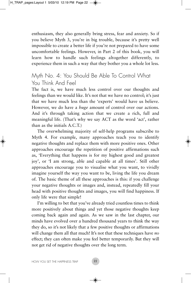enthusiasm, they also generally bring stress, fear and anxiety. So if you believe Myth 3, you're in big trouble, because it's pretty well impossible to create a better life if you're not prepared to have some uncomfortable feelings. However, in Part 2 of this book, you will learn how to handle such feelings altogether differently, to experience them in such a way that they bother you a whole lot less.

### Myth No. 4: You Should Be Able To Control What You Think And Feel

The fact is, we have much less control over our thoughts and feelings than we would like. It's not that we have no control; it's just that we have much less than the 'experts' would have us believe. However, we do have a *huge* amount of control over our actions. And it's through taking action that we create a rich, full and meaningful life. (That's why we say ACT as the word 'act', rather than as the initials A.C.T.)

The overwhelming majority of self-help programs subscribe to Myth 4. For example, many approaches teach you to identify negative thoughts and replace them with more positive ones. Other approaches encourage the repetition of positive affirmations such as, 'Everything that happens is for my highest good and greatest joy', or 'I am strong, able and capable at all times'. Still other approaches encourage you to visualise what you want, to vividly imagine yourself the way you want to be, living the life you dream of. The basic theme of all these approaches is this: if you challenge your negative thoughts or images and, instead, repeatedly fill your head with positive thoughts and images, you will find happiness. If only life were that simple!

I'm willing to bet that you've already tried countless times to think more positively about things and yet those negative thoughts keep coming back again and again. As we saw in the last chapter, our minds have evolved over a hundred thousand years to think the way they do, so it's not likely that a few positive thoughts or affirmations will change them all that much! It's not that these techniques have *no* effect; they can often make you feel better temporarily. But they will not get rid of negative thoughts over the long term.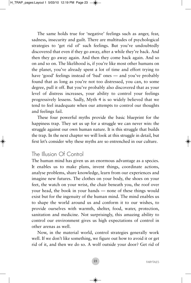The same holds true for 'negative' feelings such as anger, fear, sadness, insecurity and guilt. There are multitudes of psychological strategies to 'get rid of' such feelings. But you've undoubtedly discovered that even if they go away, after a while they're back. And then they go away again. And then they come back again. And so on and so on. The likelihood is, if you're like most other humans on the planet, you've already spent a lot of time and effort trying to have 'good' feelings instead of 'bad' ones — and you've probably found that as long as you're not too distressed, you can, to some degree, pull it off. But you've probably also discovered that as your level of distress increases, your ability to control your feelings progressively lessens. Sadly, Myth 4 is so widely believed that we tend to feel inadequate when our attempts to control our thoughts and feelings fail.

These four powerful myths provide the basic blueprint for the happiness trap. They set us up for a struggle we can never win: the struggle against our own human nature. It is this struggle that builds the trap. In the next chapter we will look at this struggle in detail, but first let's consider why these myths are so entrenched in our culture.

### The Illusion Of Control

The human mind has given us an enormous advantage as a species. It enables us to make plans, invent things, coordinate actions, analyse problems, share knowledge, learn from our experiences and imagine new futures. The clothes on your body, the shoes on your feet, the watch on your wrist, the chair beneath you, the roof over your head, the book in your hands — none of these things would exist but for the ingenuity of the human mind. The mind enables us to shape the world around us and conform it to our wishes, to provide ourselves with warmth, shelter, food, water, protection, sanitation and medicine. Not surprisingly, this amazing ability to control our environment gives us high expectations of control in other arenas as well.

Now, in the material world, control strategies generally work well. If we don't like something, we figure out how to avoid it or get rid of it, and then we do so. A wolf outside your door? Get rid of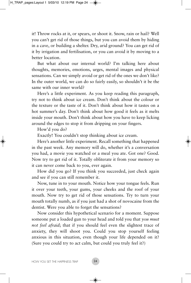it! Throw rocks at it, or spears, or shoot it. Snow, rain or hail? Well you can't get rid of those things, but you can avoid them by hiding in a cave, or building a shelter. Dry, arid ground? You can get rid of it by irrigation and fertilisation, or you can avoid it by moving to a better location.

But what about our internal world? I'm talking here about thoughts, memories, emotions, urges, mental images and physical sensations. Can we simply avoid or get rid of the ones we don't like? In the outer world, we can do so fairly easily, so shouldn't it be the same with our inner world?

Here's a little experiment. As you keep reading this paragraph, try not to think about ice cream. Don't think about the colour or the texture or the taste of it. Don't think about how it tastes on a hot summer's day. Don't think about how good it feels as it melts inside your mouth. Don't think about how you have to keep licking around the edges to stop it from dripping on your fingers.

How'd you do?

Exactly! You couldn't stop thinking about ice cream.

Here's another little experiment. Recall something that happened in the past week. Any memory will do, whether it's a conversation you had, a movie you watched or a meal you ate. Got one? Good. Now try to get rid of it. Totally obliterate it from your memory so it can never come back to you, ever again.

How did you go? If you think you succeeded, just check again and see if you can still remember it.

Now, tune in to your mouth. Notice how your tongue feels. Run it over your teeth, your gums, your cheeks and the roof of your mouth. Now try to get rid of those sensations. Try to turn your mouth totally numb, as if you just had a shot of novocaine from the dentist. Were you able to forget the sensations?

Now consider this hypothetical scenario for a moment. Suppose someone put a loaded gun to your head and told you that *you must not feel afraid*; that if you should feel even the slightest trace of anxiety, they will shoot you. Could you stop yourself feeling anxious in this situation, even though your life depended on it? (Sure you could try to act calm, but could you truly feel it?)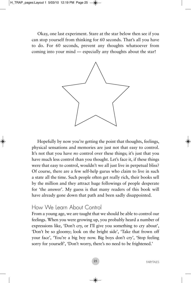Okay, one last experiment. Stare at the star below then see if you can stop yourself from thinking for 60 seconds. That's all you have to do. For 60 seconds, prevent any thoughts whatsoever from coming into your mind — especially any thoughts about the star!



Hopefully by now you're getting the point that thoughts, feelings, physical sensations and memories are just not that easy to control. It's not that you have *no* control over these things; it's just that you have much less control than you thought. Let's face it, if these things were that easy to control, wouldn't we all just live in perpetual bliss? Of course, there are a few self-help gurus who claim to live in such a state all the time. Such people often get really rich, their books sell by the million and they attract huge followings of people desperate for 'the answer'. My guess is that many readers of this book will have already gone down that path and been sadly disappointed.

### How We Learn About Control

From a young age, we are taught that we should be able to control our feelings. When you were growing up, you probably heard a number of expressions like, 'Don't cry, or I'll give you something to cry about', 'Don't be so gloomy; look on the bright side', 'Take that frown off your face', 'You're a big boy now. Big boys don't cry', 'Stop feeling sorry for yourself', 'Don't worry, there's no need to be frightened.'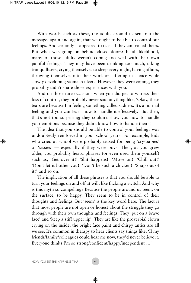With words such as these, the adults around us sent out the message, again and again, that we ought to be able to control our feelings. And certainly it appeared to us as if they controlled theirs. But what was going on behind closed doors? In all likelihood, many of those adults weren't coping too well with their own painful feelings. They may have been drinking too much, taking tranquillisers, crying themselves to sleep every night, having affairs, throwing themselves into their work or suffering in silence while slowly developing stomach ulcers. However they were coping, they probably didn't share those experiences with you.

And on those rare occasions when you did get to witness their loss of control, they probably never said anything like, 'Okay, these tears are because I'm feeling something called sadness. It's a normal feeling and you can learn how to handle it effectively.' But then, that's not too surprising; they couldn't show you how to handle your emotions because they didn't know how to handle theirs!

The idea that you should be able to control your feelings was undoubtedly reinforced in your school years. For example, kids who cried at school were probably teased for being 'cry-babies' or 'sissies' — especially if they were boys. Then, as you grew older, you probably heard phrases (or even used them yourself) such as, 'Get over it!' 'Shit happens!' 'Move on!' 'Chill out!' 'Don't let it bother you!' 'Don't be such a chicken!' 'Snap out of it!' and so on.

The implication of all these phrases is that you should be able to turn your feelings on and off at will, like flicking a switch. And why is this myth so compelling? Because the people around us seem, on the surface, to be happy. They seem to be in control of their thoughts and feelings. But 'seem' is the key word here. The fact is that most people are not open or honest about the struggle they go through with their own thoughts and feelings. They 'put on a brave face' and 'keep a stiff upper lip'. They are like the proverbial clown crying on the inside; the bright face paint and chirpy antics are all we see. It's common in therapy to hear clients say things like, 'If my friends/family/colleagues could hear me now, they'd never believe it. Everyone thinks I'm so strong/confident/happy/independent …'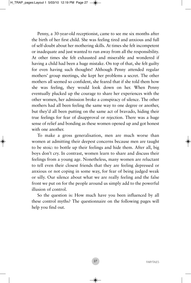Penny, a 30-year-old receptionist, came to see me six months after the birth of her first child. She was feeling tired and anxious and full of self-doubt about her mothering skills. At times she felt incompetent or inadequate and just wanted to run away from all the responsibility. At other times she felt exhausted and miserable and wondered if having a child had been a huge mistake. On top of that, she felt guilty for even having such thoughts! Although Penny attended regular mothers' group meetings, she kept her problems a secret. The other mothers all seemed so confident, she feared that if she told them how she was feeling, they would look down on her. When Penny eventually plucked up the courage to share her experiences with the other women, her admission broke a conspiracy of silence. The other mothers had all been feeling the same way to one degree or another, but they'd all been putting on the same act of bravado, hiding their true feelings for fear of disapproval or rejection. There was a huge sense of relief and bonding as these women opened up and got honest with one another.

To make a gross generalisation, men are much worse than women at admitting their deepest concerns because men are taught to be stoic: to bottle up their feelings and hide them. After all, big boys don't cry. In contrast, women learn to share and discuss their feelings from a young age. Nonetheless, many women are reluctant to tell even their closest friends that they are feeling depressed or anxious or not coping in some way, for fear of being judged weak or silly. Our silence about what we are really feeling and the false front we put on for the people around us simply add to the powerful illusion of control.

So the question is: How much have you been influenced by all these control myths? The questionnaire on the following pages will help you find out.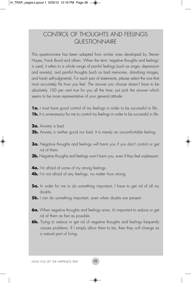### CONTROL OF THOUGHTS AND FEELINGS QUESTIONNAIRE

This questionnaire has been adapted from similar ones developed by Steven Hayes, Frank Bond and others. When the term 'negative thoughts and feelings' is used, it refers to a whole range of painful feelings (such as anger, depression and anxiety), and painful thoughts (such as bad memories, disturbing images, and harsh self-judgments). For each pair of statements, please select the one that most accurately fits how you feel. The answer you choose doesn't have to be absolutely 100 per cent true for you all the time; just pick the answer which seems to be more representative of your general attitude.

**1a.** I must have good control of my feelings in order to be successful in life. **1b.** It is unnecessary for me to control my feelings in order to be successful in life.

- **2a.** Anxiety is bad.
- **2b.** Anxiety is neither good nor bad. It is merely an uncomfortable feeling.
- **3a.** Negative thoughts and feelings will harm you if you don't control or get rid of them.
- **3b.** Negative thoughts and feelings won't harm you, even if they feel unpleasant.
- **4a.** I'm afraid of some of my strong feelings.
- **4b.** I'm not afraid of any feelings, no matter how strong.
- **5a.** In order for me to do something important, I have to get rid of all my doubts.
- **5b.** I can do something important, even when doubts are present.
- **6a.** When negative thoughts and feelings arise, it's important to reduce or get rid of them as fast as possible.
- **6b.** Trying to reduce or get rid of negative thoughts and feelings frequently causes problems. If I simply allow them to be, then they will change as a natural part of living.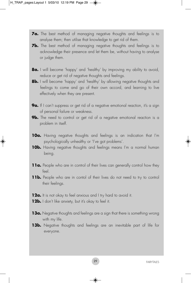- **7a.** The best method of managing negative thoughts and feelings is to analyse them; then utilise that knowledge to get rid of them.
- **7b.** The best method of managing negative thoughts and feelings is to acknowledge their presence and let them be, without having to analyse or judge them.
- **8a.** I will become 'happy' and 'healthy' by improving my ability to avoid, reduce or get rid of negative thoughts and feelings.
- **8b.** I will become 'happy' and 'healthy' by allowing negative thoughts and feelings to come and go of their own accord, and learning to live effectively when they are present.
- **9a.** If I can't suppress or get rid of a negative emotional reaction, it's a sign of personal failure or weakness.
- **9b.** The need to control or get rid of a negative emotional reaction is a problem in itself.
- **10a.** Having negative thoughts and feelings is an indication that I'm psychologically unhealthy or 'I've got problems'.
- **10b.** Having negative thoughts and feelings means I'm a normal human being.
- **11a.** People who are in control of their lives can generally control how they feel.
- **11b.** People who are in contol of their lives do not need to try to control their feelings.
- **12a.** It is not okay to feel anxious and I try hard to avoid it.
- 12b. I don't like anxiety, but it's okay to feel it.
- **13a.** Negative thoughts and feelings are a sign that there is something wrong with my life.
- **13b.** Negative thoughts and feelings are an inevitable part of life for everyone.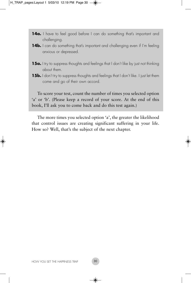- 14a. I have to feel good before I can do something that's important and challenging.
- **14b.** I can do something that's important and challenging even if I'm feeling anxious or depressed.
- **15a.** I try to suppress thoughts and feelings that I don't like by just not thinking about them.
- 15b. I don't try to suppress thoughts and feelings that I don't like. I just let them come and go of their own accord.

To score your test, count the number of times you selected option 'a' or 'b'. (Please keep a record of your score. At the end of this book, I'll ask you to come back and do this test again.)

The more times you selected option 'a', the greater the likelihood that control issues are creating significant suffering in your life. How so? Well, that's the subject of the next chapter.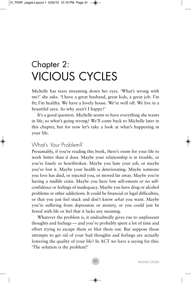## Chapter 2: VICIOUS CYCLES

Michelle has tears streaming down her eyes. 'What's wrong with me?' she asks. 'I have a great husband, great kids, a great job. I'm fit; I'm healthy. We have a lovely house. We're well off. We live in a beautiful area. So why aren't I happy?'

It's a good question. Michelle seems to have everything she wants in life, so what's going wrong? We'll come back to Michelle later in this chapter, but for now let's take a look at what's happening in your life.

### What's *Your* Problem?

Presumably, if you're reading this book, there's room for your life to work better than it does. Maybe your relationship is in trouble, or you're lonely or heartbroken. Maybe you hate your job, or maybe you've lost it. Maybe your health is deteriorating. Maybe someone you love has died, or rejected you, or moved far away. Maybe you're having a midlife crisis. Maybe you have low self-esteem or no selfconfidence or feelings of inadequacy. Maybe you have drug or alcohol problems or other addictions. It could be financial or legal difficulties, or that you just feel stuck and don't know *what* you want. Maybe you're suffering from depression or anxiety, or you could just be bored with life or feel that it lacks any meaning.

Whatever the problem is, it undoubtedly gives rise to unpleasant thoughts and feelings — and you've probably spent a lot of time and effort trying to escape them or blot them out. But suppose those attempts to get rid of your bad thoughts and feelings are actually lowering the quality of your life? In ACT we have a saying for this: 'The solution is the problem!'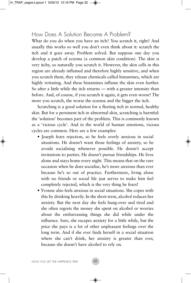#### How Does A Solution Become A Problem?

What do you do when you have an itch? You scratch it, right? And usually this works so well you don't even think about it: scratch the itch and it goes away. Problem solved. But suppose one day you develop a patch of eczema (a common skin condition). The skin is very itchy, so naturally you scratch it. However, the skin cells in this region are already inflamed and therefore highly sensitive, and when you scratch them, they release chemicals called histamines, which are highly irritating. And these histamines inflame the skin even further. So after a little while the itch returns — with a greater intensity than before. And, of course, if you scratch it again, it gets even worse! The more you scratch, the worse the eczema and the bigger the itch.

Scratching is a good solution for a fleeting itch in normal, healthy skin. But for a persistent itch in abnormal skin, scratching is harmful: the 'solution' becomes part of the problem. This is commonly known as a 'vicious cycle'. And in the world of human emotions, vicious cycles are common. Here are a few examples:

- Joseph fears rejection, so he feels overly anxious in social situations. He doesn't want those feelings of anxiety, so he avoids socialising whenever possible. He doesn't accept invitations to parties. He doesn't pursue friendships. He lives alone and stays home every night. This means that on the rare occasion when he does socialise, he's more anxious than ever because he's so out of practice. Furthermore, living alone with no friends or social life just serves to make him feel completely rejected, which is the very thing he fears!
- Yvonne also feels anxious in social situations. She copes with this by drinking heavily. In the short term, alcohol reduces her anxiety. But the next day she feels hung-over and tired and she often regrets the money she spent on alcohol or worries about the embarrassing things she did while under the influence. Sure, she escapes anxiety for a little while, but the price she pays is a lot of other unpleasant feelings over the long term. And if she ever finds herself in a social situation where she can't drink, her anxiety is greater than ever, because she doesn't have alcohol to rely on.